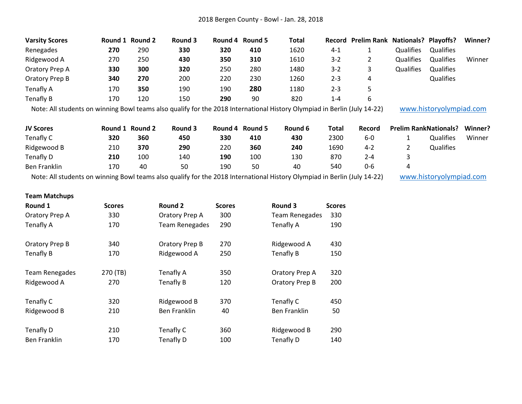| <b>Varsity Scores</b> |     | Round 1 Round 2 | Round 3 |     | Round 4 Round 5 | <b>Total</b> |         | Record Prelim Rank Nationals? Playoffs? |                  |                  | Winner? |
|-----------------------|-----|-----------------|---------|-----|-----------------|--------------|---------|-----------------------------------------|------------------|------------------|---------|
| Renegades             | 270 | 290             | 330     | 320 | 410             | 1620         | $4 - 1$ |                                         | <b>Qualifies</b> | <b>Qualifies</b> |         |
| Ridgewood A           | 270 | 250             | 430     | 350 | 310             | 1610         | $3 - 2$ |                                         | Qualifies        | Qualifies        | Winner  |
| Oratory Prep A        | 330 | 300             | 320     | 250 | 280             | 1480         | $3 - 2$ |                                         | Qualifies        | Qualifies        |         |
| Oratory Prep B        | 340 | 270             | 200     | 220 | 230             | 1260         | $2 - 3$ |                                         |                  | Qualifies        |         |
| Tenafly A             | 170 | 350             | 190     | 190 | 280             | 1180         | $2 - 3$ |                                         |                  |                  |         |
| Tenafly B             | 170 | 120             | 150     | 290 | 90              | 820          | 1-4     | b                                       |                  |                  |         |

Note: All students on winning Bowl teams also qualify for the 2018 International History Olympiad in Berlin (July 14-22) [www.historyolympiad.com](http://www.historyolympiad.com/)

| <b>JV Scores</b> | Round 1 | <b>Round 2</b> | <b>Round 3</b> | Round 4 | <b>Round 5</b> | Round 6 | Total | Record  |          | <b>Prelim RankNationals?</b> | Winner? |
|------------------|---------|----------------|----------------|---------|----------------|---------|-------|---------|----------|------------------------------|---------|
| Tenafly C        | 320     | 360            | 450            | 330     | 410            | 430     | 2300  | $6-0$   |          | <b>Qualifies</b>             | Winner  |
| Ridgewood B      | 210     | 370            | 290            | 220     | 360            | 240     | 1690  | $4 - 2$ | <u>.</u> | Qualifies                    |         |
| Tenafly D        | 210     | 100            | 140            | 190     | 100            | 130     | 870   | 2-4     |          |                              |         |
| Ben Franklin     | 170     | 40             | 50             | 190     | 50             | 40      | 540   | 0-6     |          |                              |         |

Note: All students on winning Bowl teams also qualify for the 2018 International History Olympiad in Berlin (July 14-22) [www.historyolympiad.com](http://www.historyolympiad.com/)

## **Team Matchups**

| Round 1               | <b>Scores</b> | Round 2               | <b>Scores</b> | Round 3               | <b>Scores</b> |
|-----------------------|---------------|-----------------------|---------------|-----------------------|---------------|
| Oratory Prep A        | 330           | Oratory Prep A        | 300           | <b>Team Renegades</b> | 330           |
| Tenafly A             | 170           | <b>Team Renegades</b> | 290           | Tenafly A             | 190           |
| Oratory Prep B        | 340           | Oratory Prep B        | 270           | Ridgewood A           | 430           |
| <b>Tenafly B</b>      | 170           | Ridgewood A           | 250           | Tenafly B             | 150           |
| <b>Team Renegades</b> | 270 (TB)      | Tenafly A             | 350           | Oratory Prep A        | 320           |
| Ridgewood A           | 270           | Tenafly B             | 120           | Oratory Prep B        | 200           |
| Tenafly C             | 320           | Ridgewood B           | 370           | Tenafly C             | 450           |
| Ridgewood B           | 210           | <b>Ben Franklin</b>   | 40            | <b>Ben Franklin</b>   | 50            |
| Tenafly D             | 210           | Tenafly C             | 360           | Ridgewood B           | 290           |
| Ben Franklin          | 170           | Tenafly D             | 100           | Tenafly D             | 140           |